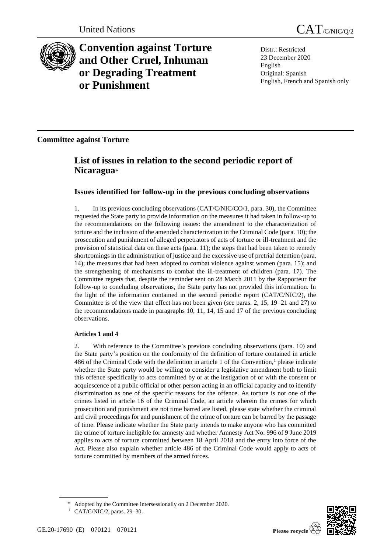

# **Convention against Torture and Other Cruel, Inhuman or Degrading Treatment or Punishment**

Distr.: Restricted 23 December 2020 English Original: Spanish English, French and Spanish only

## **Committee against Torture**

## **List of issues in relation to the second periodic report of Nicaragua**\*

### **Issues identified for follow-up in the previous concluding observations**

1. In its previous concluding observations (CAT/C/NIC/CO/1, para. 30), the Committee requested the State party to provide information on the measures it had taken in follow-up to the recommendations on the following issues: the amendment to the characterization of torture and the inclusion of the amended characterization in the Criminal Code (para. 10); the prosecution and punishment of alleged perpetrators of acts of torture or ill-treatment and the provision of statistical data on these acts (para. 11); the steps that had been taken to remedy shortcomings in the administration of justice and the excessive use of pretrial detention (para. 14); the measures that had been adopted to combat violence against women (para. 15); and the strengthening of mechanisms to combat the ill-treatment of children (para. 17). The Committee regrets that, despite the reminder sent on 28 March 2011 by the Rapporteur for follow-up to concluding observations, the State party has not provided this information. In the light of the information contained in the second periodic report (CAT/C/NIC/2), the Committee is of the view that effect has not been given (see paras. 2, 15, 19–21 and 27) to the recommendations made in paragraphs 10, 11, 14, 15 and 17 of the previous concluding observations.

### **Articles 1 and 4**

2. With reference to the Committee's previous concluding observations (para. 10) and the State party's position on the conformity of the definition of torture contained in article  $486$  of the Criminal Code with the definition in article 1 of the Convention,<sup>1</sup> please indicate whether the State party would be willing to consider a legislative amendment both to limit this offence specifically to acts committed by or at the instigation of or with the consent or acquiescence of a public official or other person acting in an official capacity and to identify discrimination as one of the specific reasons for the offence. As torture is not one of the crimes listed in article 16 of the Criminal Code, an article wherein the crimes for which prosecution and punishment are not time barred are listed, please state whether the criminal and civil proceedings for and punishment of the crime of torture can be barred by the passage of time. Please indicate whether the State party intends to make anyone who has committed the crime of torture ineligible for amnesty and whether Amnesty Act No. 996 of 9 June 2019 applies to acts of torture committed between 18 April 2018 and the entry into force of the Act. Please also explain whether article 486 of the Criminal Code would apply to acts of torture committed by members of the armed forces.



Adopted by the Committee intersessionally on 2 December 2020.

<sup>1</sup> CAT/C/NIC/2, paras. 29–30.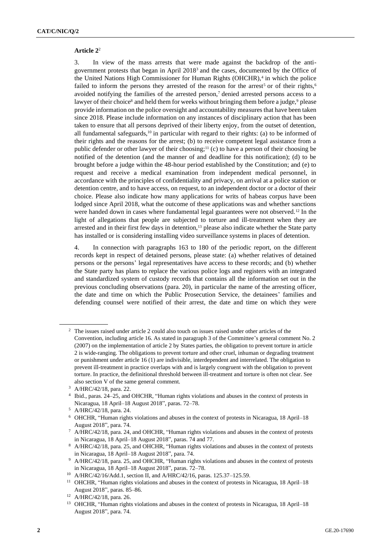#### **Article 2**<sup>2</sup>

3. In view of the mass arrests that were made against the backdrop of the antigovernment protests that began in April 2018<sup>3</sup> and the cases, documented by the Office of the United Nations High Commissioner for Human Rights (OHCHR),<sup>4</sup> in which the police failed to inform the persons they arrested of the reason for the arrest<sup>5</sup> or of their rights,<sup>6</sup> avoided notifying the families of the arrested person, $7$  denied arrested persons access to a lawyer of their choice<sup>8</sup> and held them for weeks without bringing them before a judge,<sup>9</sup> please provide information on the police oversight and accountability measures that have been taken since 2018. Please include information on any instances of disciplinary action that has been taken to ensure that all persons deprived of their liberty enjoy, from the outset of detention, all fundamental safeguards, $10$  in particular with regard to their rights: (a) to be informed of their rights and the reasons for the arrest; (b) to receive competent legal assistance from a public defender or other lawyer of their choosing;<sup>11</sup> (c) to have a person of their choosing be notified of the detention (and the manner of and deadline for this notification); (d) to be brought before a judge within the 48-hour period established by the Constitution; and (e) to request and receive a medical examination from independent medical personnel, in accordance with the principles of confidentiality and privacy, on arrival at a police station or detention centre, and to have access, on request, to an independent doctor or a doctor of their choice. Please also indicate how many applications for writs of habeas corpus have been lodged since April 2018, what the outcome of these applications was and whether sanctions were handed down in cases where fundamental legal guarantees were not observed.<sup>12</sup> In the light of allegations that people are subjected to torture and ill-treatment when they are arrested and in their first few days in detention,<sup>13</sup> please also indicate whether the State party has installed or is considering installing video surveillance systems in places of detention.

4. In connection with paragraphs 163 to 180 of the periodic report, on the different records kept in respect of detained persons, please state: (a) whether relatives of detained persons or the persons' legal representatives have access to these records; and (b) whether the State party has plans to replace the various police logs and registers with an integrated and standardized system of custody records that contains all the information set out in the previous concluding observations (para. 20), in particular the name of the arresting officer, the date and time on which the Public Prosecution Service, the detainees' families and defending counsel were notified of their arrest, the date and time on which they were

<sup>&</sup>lt;sup>2</sup> The issues raised under article 2 could also touch on issues raised under other articles of the Convention, including article 16. As stated in paragraph 3 of the Committee's general comment No. 2 (2007) on the implementation of article 2 by States parties, the obligation to prevent torture in article 2 is wide-ranging. The obligations to prevent torture and other cruel, inhuman or degrading treatment or punishment under article 16 (1) are indivisible, interdependent and interrelated. The obligation to prevent ill-treatment in practice overlaps with and is largely congruent with the obligation to prevent torture. In practice, the definitional threshold between ill-treatment and torture is often not clear. See also section V of the same general comment.

<sup>3</sup> A/HRC/42/18, para. 22.

<sup>4</sup> Ibid., paras. 24–25, and OHCHR, "Human rights violations and abuses in the context of protests in Nicaragua, 18 April–18 August 2018", paras. 72–78.

<sup>5</sup> A/HRC/42/18, para. 24.

<sup>6</sup> OHCHR, "Human rights violations and abuses in the context of protests in Nicaragua, 18 April–18 August 2018", para. 74.

<sup>7</sup> A/HRC/42/18, para. 24, and OHCHR, "Human rights violations and abuses in the context of protests in Nicaragua, 18 April–18 August 2018", paras. 74 and 77.

<sup>8</sup> A/HRC/42/18, para. 25, and OHCHR, "Human rights violations and abuses in the context of protests in Nicaragua, 18 April–18 August 2018", para. 74.

<sup>&</sup>lt;sup>9</sup> A/HRC/42/18, para. 25, and OHCHR, "Human rights violations and abuses in the context of protests in Nicaragua, 18 April–18 August 2018", paras. 72–78.

<sup>10</sup> A/HRC/42/16/Add.1, section II, and A/HRC/42/16, paras. 125.37–125.59.

<sup>&</sup>lt;sup>11</sup> OHCHR, "Human rights violations and abuses in the context of protests in Nicaragua, 18 April–18 August 2018", paras. 85–86.

<sup>12</sup> A/HRC/42/18, para. 26.

<sup>&</sup>lt;sup>13</sup> OHCHR, "Human rights violations and abuses in the context of protests in Nicaragua, 18 April–18 August 2018", para. 74.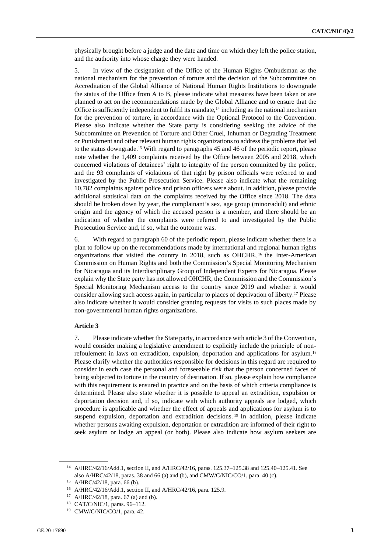physically brought before a judge and the date and time on which they left the police station, and the authority into whose charge they were handed.

5. In view of the designation of the Office of the Human Rights Ombudsman as the national mechanism for the prevention of torture and the decision of the Subcommittee on Accreditation of the Global Alliance of National Human Rights Institutions to downgrade the status of the Office from A to B, please indicate what measures have been taken or are planned to act on the recommendations made by the Global Alliance and to ensure that the Office is sufficiently independent to fulfil its mandate, $14$  including as the national mechanism for the prevention of torture, in accordance with the Optional Protocol to the Convention. Please also indicate whether the State party is considering seeking the advice of the Subcommittee on Prevention of Torture and Other Cruel, Inhuman or Degrading Treatment or Punishment and other relevant human rights organizations to address the problems that led to the status downgrade.<sup>15</sup> With regard to paragraphs 45 and 46 of the periodic report, please note whether the 1,409 complaints received by the Office between 2005 and 2018, which concerned violations of detainees' right to integrity of the person committed by the police, and the 93 complaints of violations of that right by prison officials were referred to and investigated by the Public Prosecution Service. Please also indicate what the remaining 10,782 complaints against police and prison officers were about. In addition, please provide additional statistical data on the complaints received by the Office since 2018. The data should be broken down by year, the complainant's sex, age group (minor/adult) and ethnic origin and the agency of which the accused person is a member, and there should be an indication of whether the complaints were referred to and investigated by the Public Prosecution Service and, if so, what the outcome was.

6. With regard to paragraph 60 of the periodic report, please indicate whether there is a plan to follow up on the recommendations made by international and regional human rights organizations that visited the country in 2018, such as OHCHR,  $^{16}$  the Inter-American Commission on Human Rights and both the Commission's Special Monitoring Mechanism for Nicaragua and its Interdisciplinary Group of Independent Experts for Nicaragua. Please explain why the State party has not allowed OHCHR, the Commission and the Commission's Special Monitoring Mechanism access to the country since 2019 and whether it would consider allowing such access again, in particular to places of deprivation of liberty.<sup>17</sup> Please also indicate whether it would consider granting requests for visits to such places made by non-governmental human rights organizations.

#### **Article 3**

7. Please indicate whether the State party, in accordance with article 3 of the Convention, would consider making a legislative amendment to explicitly include the principle of nonrefoulement in laws on extradition, expulsion, deportation and applications for asylum.<sup>18</sup> Please clarify whether the authorities responsible for decisions in this regard are required to consider in each case the personal and foreseeable risk that the person concerned faces of being subjected to torture in the country of destination. If so, please explain how compliance with this requirement is ensured in practice and on the basis of which criteria compliance is determined. Please also state whether it is possible to appeal an extradition, expulsion or deportation decision and, if so, indicate with which authority appeals are lodged, which procedure is applicable and whether the effect of appeals and applications for asylum is to suspend expulsion, deportation and extradition decisions.<sup>19</sup> In addition, please indicate whether persons awaiting expulsion, deportation or extradition are informed of their right to seek asylum or lodge an appeal (or both). Please also indicate how asylum seekers are

<sup>&</sup>lt;sup>14</sup> A/HRC/42/16/Add.1, section II, and A/HRC/42/16, paras. 125.37-125.38 and 125.40-125.41. See also A/HRC/42/18, paras. 38 and 66 (a) and (b), and CMW/C/NIC/CO/1, para. 40 (c).

<sup>15</sup> A/HRC/42/18, para. 66 (b).

<sup>16</sup> A/HRC/42/16/Add.1, section II, and A/HRC/42/16, para. 125.9.

 $17$  A/HRC/42/18, para. 67 (a) and (b).

<sup>18</sup> CAT/C/NIC/1, paras. 96–112.

<sup>19</sup> CMW/C/NIC/CO/1, para. 42.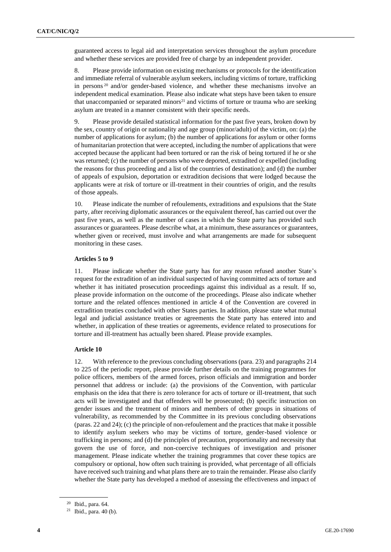guaranteed access to legal aid and interpretation services throughout the asylum procedure and whether these services are provided free of charge by an independent provider.

8. Please provide information on existing mechanisms or protocols for the identification and immediate referral of vulnerable asylum seekers, including victims of torture, trafficking in persons <sup>20</sup> and/or gender-based violence, and whether these mechanisms involve an independent medical examination. Please also indicate what steps have been taken to ensure that unaccompanied or separated minors<sup>21</sup> and victims of torture or trauma who are seeking asylum are treated in a manner consistent with their specific needs.

9. Please provide detailed statistical information for the past five years, broken down by the sex, country of origin or nationality and age group (minor/adult) of the victim, on: (a) the number of applications for asylum; (b) the number of applications for asylum or other forms of humanitarian protection that were accepted, including the number of applications that were accepted because the applicant had been tortured or ran the risk of being tortured if he or she was returned; (c) the number of persons who were deported, extradited or expelled (including the reasons for thus proceeding and a list of the countries of destination); and (d) the number of appeals of expulsion, deportation or extradition decisions that were lodged because the applicants were at risk of torture or ill-treatment in their countries of origin, and the results of those appeals.

10. Please indicate the number of refoulements, extraditions and expulsions that the State party, after receiving diplomatic assurances or the equivalent thereof, has carried out over the past five years, as well as the number of cases in which the State party has provided such assurances or guarantees. Please describe what, at a minimum, these assurances or guarantees, whether given or received, must involve and what arrangements are made for subsequent monitoring in these cases.

#### **Articles 5 to 9**

11. Please indicate whether the State party has for any reason refused another State's request for the extradition of an individual suspected of having committed acts of torture and whether it has initiated prosecution proceedings against this individual as a result. If so, please provide information on the outcome of the proceedings. Please also indicate whether torture and the related offences mentioned in article 4 of the Convention are covered in extradition treaties concluded with other States parties. In addition, please state what mutual legal and judicial assistance treaties or agreements the State party has entered into and whether, in application of these treaties or agreements, evidence related to prosecutions for torture and ill-treatment has actually been shared. Please provide examples.

#### **Article 10**

12. With reference to the previous concluding observations (para. 23) and paragraphs 214 to 225 of the periodic report, please provide further details on the training programmes for police officers, members of the armed forces, prison officials and immigration and border personnel that address or include: (a) the provisions of the Convention, with particular emphasis on the idea that there is zero tolerance for acts of torture or ill-treatment, that such acts will be investigated and that offenders will be prosecuted; (b) specific instruction on gender issues and the treatment of minors and members of other groups in situations of vulnerability, as recommended by the Committee in its previous concluding observations (paras. 22 and 24); (c) the principle of non-refoulement and the practices that make it possible to identify asylum seekers who may be victims of torture, gender-based violence or trafficking in persons; and (d) the principles of precaution, proportionality and necessity that govern the use of force, and non-coercive techniques of investigation and prisoner management. Please indicate whether the training programmes that cover these topics are compulsory or optional, how often such training is provided, what percentage of all officials have received such training and what plans there are to train the remainder. Please also clarify whether the State party has developed a method of assessing the effectiveness and impact of

<sup>20</sup> Ibid., para. 64.

<sup>&</sup>lt;sup>21</sup> Ibid., para. 40 (b).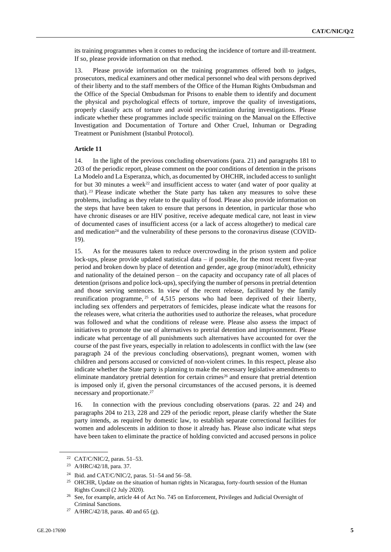its training programmes when it comes to reducing the incidence of torture and ill-treatment. If so, please provide information on that method.

13. Please provide information on the training programmes offered both to judges, prosecutors, medical examiners and other medical personnel who deal with persons deprived of their liberty and to the staff members of the Office of the Human Rights Ombudsman and the Office of the Special Ombudsman for Prisons to enable them to identify and document the physical and psychological effects of torture, improve the quality of investigations, properly classify acts of torture and avoid revictimization during investigations. Please indicate whether these programmes include specific training on the Manual on the Effective Investigation and Documentation of Torture and Other Cruel, Inhuman or Degrading Treatment or Punishment (Istanbul Protocol).

#### **Article 11**

14. In the light of the previous concluding observations (para. 21) and paragraphs 181 to 203 of the periodic report, please comment on the poor conditions of detention in the prisons La Modelo and La Esperanza, which, as documented by OHCHR, included access to sunlight for but 30 minutes a week<sup>22</sup> and insufficient access to water (and water of poor quality at that). <sup>23</sup> Please indicate whether the State party has taken any measures to solve these problems, including as they relate to the quality of food. Please also provide information on the steps that have been taken to ensure that persons in detention, in particular those who have chronic diseases or are HIV positive, receive adequate medical care, not least in view of documented cases of insufficient access (or a lack of access altogether) to medical care and medication $24$  and the vulnerability of these persons to the coronavirus disease (COVID-19).

15. As for the measures taken to reduce overcrowding in the prison system and police lock-ups, please provide updated statistical data – if possible, for the most recent five-year period and broken down by place of detention and gender, age group (minor/adult), ethnicity and nationality of the detained person – on the capacity and occupancy rate of all places of detention (prisons and police lock-ups), specifying the number of persons in pretrial detention and those serving sentences. In view of the recent release, facilitated by the family reunification programme, <sup>25</sup> of 4,515 persons who had been deprived of their liberty, including sex offenders and perpetrators of femicides, please indicate what the reasons for the releases were, what criteria the authorities used to authorize the releases, what procedure was followed and what the conditions of release were. Please also assess the impact of initiatives to promote the use of alternatives to pretrial detention and imprisonment. Please indicate what percentage of all punishments such alternatives have accounted for over the course of the past five years, especially in relation to adolescents in conflict with the law (see paragraph 24 of the previous concluding observations), pregnant women, women with children and persons accused or convicted of non-violent crimes. In this respect, please also indicate whether the State party is planning to make the necessary legislative amendments to eliminate mandatory pretrial detention for certain crimes<sup>26</sup> and ensure that pretrial detention is imposed only if, given the personal circumstances of the accused persons, it is deemed necessary and proportionate.<sup>27</sup>

16. In connection with the previous concluding observations (paras. 22 and 24) and paragraphs 204 to 213, 228 and 229 of the periodic report, please clarify whether the State party intends, as required by domestic law, to establish separate correctional facilities for women and adolescents in addition to those it already has. Please also indicate what steps have been taken to eliminate the practice of holding convicted and accused persons in police

<sup>22</sup> CAT/C/NIC/2, paras. 51–53.

<sup>23</sup> A/HRC/42/18, para. 37.

<sup>24</sup> Ibid. and CAT/C/NIC/2, paras. 51–54 and 56–58.

<sup>&</sup>lt;sup>25</sup> OHCHR, Update on the situation of human rights in Nicaragua, forty-fourth session of the Human Rights Council (2 July 2020).

<sup>&</sup>lt;sup>26</sup> See, for example, article 44 of Act No. 745 on Enforcement, Privileges and Judicial Oversight of Criminal Sanctions.

<sup>&</sup>lt;sup>27</sup> A/HRC/42/18, paras. 40 and 65 (g).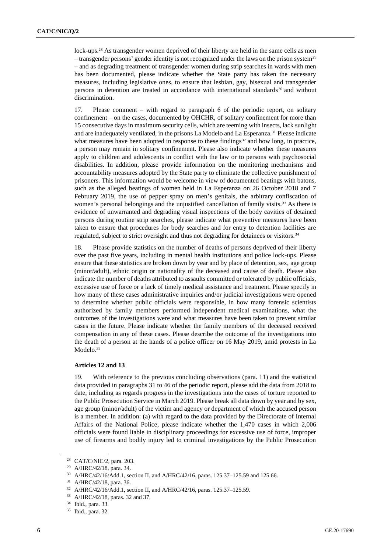lock-ups.<sup>28</sup> As transgender women deprived of their liberty are held in the same cells as men – transgender persons' gender identity is not recognized under the laws on the prison system<sup>29</sup> – and as degrading treatment of transgender women during strip searches in wards with men has been documented, please indicate whether the State party has taken the necessary measures, including legislative ones, to ensure that lesbian, gay, bisexual and transgender persons in detention are treated in accordance with international standards $30$  and without discrimination.

17. Please comment – with regard to paragraph 6 of the periodic report, on solitary confinement – on the cases, documented by OHCHR, of solitary confinement for more than 15 consecutive days in maximum security cells, which are teeming with insects, lack sunlight and are inadequately ventilated, in the prisons La Modelo and La Esperanza.<sup>31</sup> Please indicate what measures have been adopted in response to these findings $32$  and how long, in practice, a person may remain in solitary confinement. Please also indicate whether these measures apply to children and adolescents in conflict with the law or to persons with psychosocial disabilities. In addition, please provide information on the monitoring mechanisms and accountability measures adopted by the State party to eliminate the collective punishment of prisoners. This information would be welcome in view of documented beatings with batons, such as the alleged beatings of women held in La Esperanza on 26 October 2018 and 7 February 2019, the use of pepper spray on men's genitals, the arbitrary confiscation of women's personal belongings and the unjustified cancellation of family visits.<sup>33</sup> As there is evidence of unwarranted and degrading visual inspections of the body cavities of detained persons during routine strip searches, please indicate what preventive measures have been taken to ensure that procedures for body searches and for entry to detention facilities are regulated, subject to strict oversight and thus not degrading for detainees or visitors.<sup>34</sup>

18. Please provide statistics on the number of deaths of persons deprived of their liberty over the past five years, including in mental health institutions and police lock-ups. Please ensure that these statistics are broken down by year and by place of detention, sex, age group (minor/adult), ethnic origin or nationality of the deceased and cause of death. Please also indicate the number of deaths attributed to assaults committed or tolerated by public officials, excessive use of force or a lack of timely medical assistance and treatment. Please specify in how many of these cases administrative inquiries and/or judicial investigations were opened to determine whether public officials were responsible, in how many forensic scientists authorized by family members performed independent medical examinations, what the outcomes of the investigations were and what measures have been taken to prevent similar cases in the future. Please indicate whether the family members of the deceased received compensation in any of these cases. Please describe the outcome of the investigations into the death of a person at the hands of a police officer on 16 May 2019, amid protests in La Modelo.<sup>35</sup>

#### **Articles 12 and 13**

With reference to the previous concluding observations (para. 11) and the statistical data provided in paragraphs 31 to 46 of the periodic report, please add the data from 2018 to date, including as regards progress in the investigations into the cases of torture reported to the Public Prosecution Service in March 2019. Please break all data down by year and by sex, age group (minor/adult) of the victim and agency or department of which the accused person is a member. In addition: (a) with regard to the data provided by the Directorate of Internal Affairs of the National Police, please indicate whether the 1,470 cases in which 2,006 officials were found liable in disciplinary proceedings for excessive use of force, improper use of firearms and bodily injury led to criminal investigations by the Public Prosecution

<sup>28</sup> CAT/C/NIC/2, para. 203.

<sup>29</sup> A/HRC/42/18, para. 34.

<sup>30</sup> A/HRC/42/16/Add.1, section II, and A/HRC/42/16, paras. 125.37–125.59 and 125.66.

<sup>31</sup> A/HRC/42/18, para. 36.

<sup>32</sup> A/HRC/42/16/Add.1, section II, and A/HRC/42/16, paras. 125.37–125.59.

<sup>33</sup> A/HRC/42/18, paras. 32 and 37.

<sup>34</sup> Ibid., para. 33.

<sup>35</sup> Ibid., para. 32.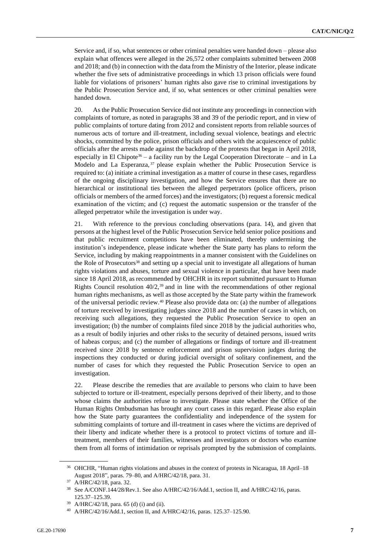Service and, if so, what sentences or other criminal penalties were handed down – please also explain what offences were alleged in the 26,572 other complaints submitted between 2008 and 2018; and (b) in connection with the data from the Ministry of the Interior, please indicate whether the five sets of administrative proceedings in which 13 prison officials were found liable for violations of prisoners' human rights also gave rise to criminal investigations by the Public Prosecution Service and, if so, what sentences or other criminal penalties were handed down.

20. As the Public Prosecution Service did not institute any proceedings in connection with complaints of torture, as noted in paragraphs 38 and 39 of the periodic report, and in view of public complaints of torture dating from 2012 and consistent reports from reliable sources of numerous acts of torture and ill-treatment, including sexual violence, beatings and electric shocks, committed by the police, prison officials and others with the acquiescence of public officials after the arrests made against the backdrop of the protests that began in April 2018, especially in El Chipote<sup>36</sup> – a facility run by the Legal Cooperation Directorate – and in La Modelo and La Esperanza, <sup>37</sup> please explain whether the Public Prosecution Service is required to: (a) initiate a criminal investigation as a matter of course in these cases, regardless of the ongoing disciplinary investigation, and how the Service ensures that there are no hierarchical or institutional ties between the alleged perpetrators (police officers, prison officials or members of the armed forces) and the investigators; (b) request a forensic medical examination of the victim; and (c) request the automatic suspension or the transfer of the alleged perpetrator while the investigation is under way.

21. With reference to the previous concluding observations (para. 14), and given that persons at the highest level of the Public Prosecution Service held senior police positions and that public recruitment competitions have been eliminated, thereby undermining the institution's independence, please indicate whether the State party has plans to reform the Service, including by making reappointments in a manner consistent with the Guidelines on the Role of Prosecutors<sup>38</sup> and setting up a special unit to investigate all allegations of human rights violations and abuses, torture and sexual violence in particular, that have been made since 18 April 2018, as recommended by OHCHR in its report submitted pursuant to Human Rights Council resolution  $40/2$ ,<sup>39</sup> and in line with the recommendations of other regional human rights mechanisms, as well as those accepted by the State party within the framework of the universal periodic review.<sup>40</sup> Please also provide data on: (a) the number of allegations of torture received by investigating judges since 2018 and the number of cases in which, on receiving such allegations, they requested the Public Prosecution Service to open an investigation; (b) the number of complaints filed since 2018 by the judicial authorities who, as a result of bodily injuries and other risks to the security of detained persons, issued writs of habeas corpus; and (c) the number of allegations or findings of torture and ill-treatment received since 2018 by sentence enforcement and prison supervision judges during the inspections they conducted or during judicial oversight of solitary confinement, and the number of cases for which they requested the Public Prosecution Service to open an investigation.

22. Please describe the remedies that are available to persons who claim to have been subjected to torture or ill-treatment, especially persons deprived of their liberty, and to those whose claims the authorities refuse to investigate. Please state whether the Office of the Human Rights Ombudsman has brought any court cases in this regard. Please also explain how the State party guarantees the confidentiality and independence of the system for submitting complaints of torture and ill-treatment in cases where the victims are deprived of their liberty and indicate whether there is a protocol to protect victims of torture and illtreatment, members of their families, witnesses and investigators or doctors who examine them from all forms of intimidation or reprisals prompted by the submission of complaints.

<sup>&</sup>lt;sup>36</sup> OHCHR, "Human rights violations and abuses in the context of protests in Nicaragua, 18 April–18 August 2018", paras. 79–80, and A/HRC/42/18, para. 31.

<sup>37</sup> A/HRC/42/18, para. 32.

<sup>38</sup> See A/CONF.144/28/Rev.1. See also A/HRC/42/16/Add.1, section II, and A/HRC/42/16, paras. 125.37–125.39.

A/HRC/42/18, para. 65 (d) (i) and (ii).

<sup>40</sup> A/HRC/42/16/Add.1, section II, and A/HRC/42/16, paras. 125.37–125.90.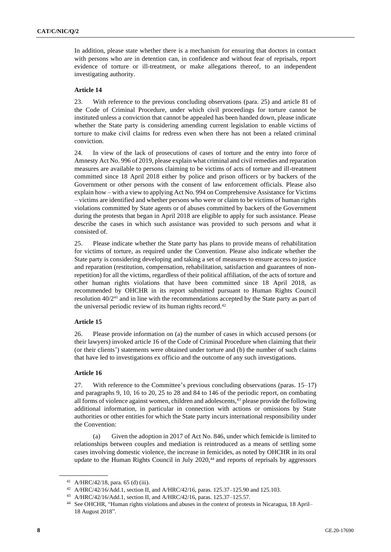In addition, please state whether there is a mechanism for ensuring that doctors in contact with persons who are in detention can, in confidence and without fear of reprisals, report evidence of torture or ill-treatment, or make allegations thereof, to an independent investigating authority.

#### **Article 14**

23. With reference to the previous concluding observations (para. 25) and article 81 of the Code of Criminal Procedure, under which civil proceedings for torture cannot be instituted unless a conviction that cannot be appealed has been handed down, please indicate whether the State party is considering amending current legislation to enable victims of torture to make civil claims for redress even when there has not been a related criminal conviction.

24. In view of the lack of prosecutions of cases of torture and the entry into force of Amnesty Act No. 996 of 2019, please explain what criminal and civil remedies and reparation measures are available to persons claiming to be victims of acts of torture and ill-treatment committed since 18 April 2018 either by police and prison officers or by backers of the Government or other persons with the consent of law enforcement officials. Please also explain how – with a view to applying Act No. 994 on Comprehensive Assistance for Victims – victims are identified and whether persons who were or claim to be victims of human rights violations committed by State agents or of abuses committed by backers of the Government during the protests that began in April 2018 are eligible to apply for such assistance. Please describe the cases in which such assistance was provided to such persons and what it consisted of.

25. Please indicate whether the State party has plans to provide means of rehabilitation for victims of torture, as required under the Convention. Please also indicate whether the State party is considering developing and taking a set of measures to ensure access to justice and reparation (restitution, compensation, rehabilitation, satisfaction and guarantees of nonrepetition) for all the victims, regardless of their political affiliation, of the acts of torture and other human rights violations that have been committed since 18 April 2018, as recommended by OHCHR in its report submitted pursuant to Human Rights Council resolution 40/2<sup>41</sup> and in line with the recommendations accepted by the State party as part of the universal periodic review of its human rights record.<sup>42</sup>

#### **Article 15**

26. Please provide information on (a) the number of cases in which accused persons (or their lawyers) invoked article 16 of the Code of Criminal Procedure when claiming that their (or their clients') statements were obtained under torture and (b) the number of such claims that have led to investigations ex officio and the outcome of any such investigations.

#### **Article 16**

27. With reference to the Committee's previous concluding observations (paras. 15–17) and paragraphs 9, 10, 16 to 20, 25 to 28 and 84 to 146 of the periodic report, on combating all forms of violence against women, children and adolescents, $43$  please provide the following additional information, in particular in connection with actions or omissions by State authorities or other entities for which the State party incurs international responsibility under the Convention:

(a) Given the adoption in 2017 of Act No. 846, under which femicide is limited to relationships between couples and mediation is reintroduced as a means of settling some cases involving domestic violence, the increase in femicides, as noted by OHCHR in its oral update to the Human Rights Council in July 2020,<sup>44</sup> and reports of reprisals by aggressors

<sup>43</sup> A/HRC/42/16/Add.1, section II, and A/HRC/42/16, paras. 125.37–125.57.

<sup>41</sup> A/HRC/42/18, para. 65 (d) (iii).

<sup>42</sup> A/HRC/42/16/Add.1, section II, and A/HRC/42/16, paras. 125.37–125.90 and 125.103.

<sup>44</sup> See OHCHR, "Human rights violations and abuses in the context of protests in Nicaragua, 18 April– 18 August 2018".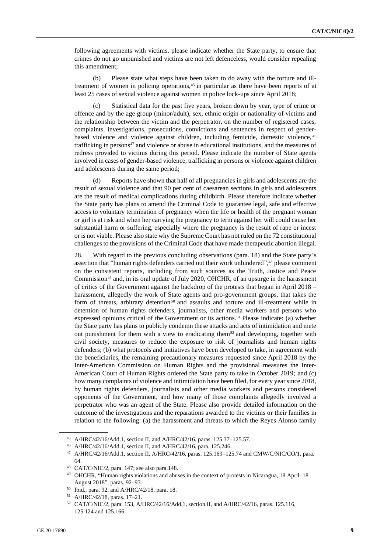following agreements with victims, please indicate whether the State party, to ensure that crimes do not go unpunished and victims are not left defenceless, would consider repealing this amendment;

(b) Please state what steps have been taken to do away with the torture and illtreatment of women in policing operations,<sup>45</sup> in particular as there have been reports of at least 25 cases of sexual violence against women in police lock-ups since April 2018;

(c) Statistical data for the past five years, broken down by year, type of crime or offence and by the age group (minor/adult), sex, ethnic origin or nationality of victims and the relationship between the victim and the perpetrator, on the number of registered cases, complaints, investigations, prosecutions, convictions and sentences in respect of genderbased violence and violence against children, including femicide, domestic violence, <sup>46</sup> trafficking in persons<sup>47</sup> and violence or abuse in educational institutions, and the measures of redress provided to victims during this period. Please indicate the number of State agents involved in cases of gender-based violence, trafficking in persons or violence against children and adolescents during the same period;

(d) Reports have shown that half of all pregnancies in girls and adolescents are the result of sexual violence and that 90 per cent of caesarean sections in girls and adolescents are the result of medical complications during childbirth. Please therefore indicate whether the State party has plans to amend the Criminal Code to guarantee legal, safe and effective access to voluntary termination of pregnancy when the life or health of the pregnant woman or girl is at risk and when her carrying the pregnancy to term against her will could cause her substantial harm or suffering, especially where the pregnancy is the result of rape or incest or is not viable. Please also state why the Supreme Court has not ruled on the 72 constitutional challenges to the provisions of the Criminal Code that have made therapeutic abortion illegal.

28. With regard to the previous concluding observations (para. 18) and the State party's assertion that "human rights defenders carried out their work unhindered", <sup>48</sup> please comment on the consistent reports, including from such sources as the Truth, Justice and Peace Commission<sup>49</sup> and, in its oral update of July 2020, OHCHR, of an upsurge in the harassment of critics of the Government against the backdrop of the protests that began in April 2018 – harassment, allegedly the work of State agents and pro-government groups, that takes the form of threats, arbitrary detention<sup>50</sup> and assaults and torture and ill-treatment while in detention of human rights defenders, journalists, other media workers and persons who expressed opinions critical of the Government or its actions.<sup>51</sup> Please indicate: (a) whether the State party has plans to publicly condemn these attacks and acts of intimidation and mete out punishment for them with a view to eradicating them<sup>52</sup> and developing, together with civil society, measures to reduce the exposure to risk of journalists and human rights defenders; (b) what protocols and initiatives have been developed to take, in agreement with the beneficiaries, the remaining precautionary measures requested since April 2018 by the Inter-American Commission on Human Rights and the provisional measures the Inter-American Court of Human Rights ordered the State party to take in October 2019; and (c) how many complaints of violence and intimidation have been filed, for every year since 2018, by human rights defenders, journalists and other media workers and persons considered opponents of the Government, and how many of those complaints allegedly involved a perpetrator who was an agent of the State. Please also provide detailed information on the outcome of the investigations and the reparations awarded to the victims or their families in relation to the following: (a) the harassment and threats to which the Reyes Alonso family

<sup>45</sup> A/HRC/42/16/Add.1, section II, and A/HRC/42/16, paras. 125.37–125.57.

<sup>46</sup> A/HRC/42/16/Add.1, section II, and A/HRC/42/16, para. 125.246.

<sup>47</sup> A/HRC/42/16/Add.1, section II, A/HRC/42/16, paras. 125.169–125.74 and CMW/C/NIC/CO/1, para. 64.

<sup>48</sup> CAT/C/NIC/2, para. 147; see also para.148.

<sup>&</sup>lt;sup>49</sup> OHCHR, "Human rights violations and abuses in the context of protests in Nicaragua, 18 April-18 August 2018", paras. 92–93.

<sup>50</sup> Ibid., para. 92, and A/HRC/42/18, para. 18.

<sup>51</sup> A/HRC/42/18, paras. 17–21.

<sup>52</sup> CAT/C/NIC/2, para. 153, A/HRC/42/16/Add.1, section II, and A/HRC/42/16, paras. 125.116, 125.124 and 125.166.